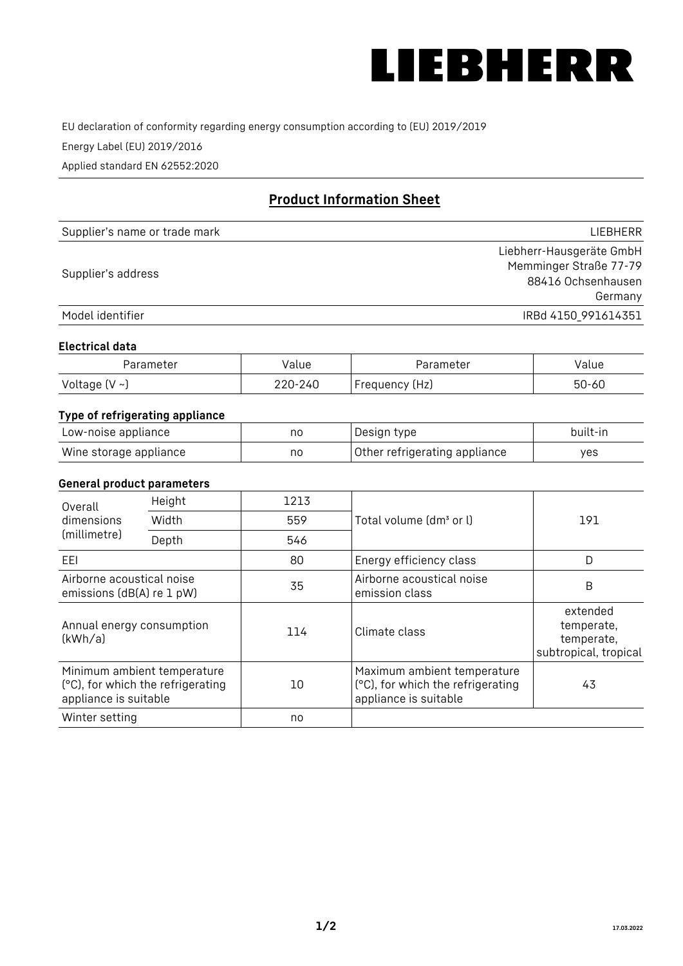

EU declaration of conformity regarding energy consumption according to (EU) 2019/2019

Energy Label (EU) 2019/2016

Applied standard EN 62552:2020

# **Product Information Sheet**

| Supplier's name or trade mark | <b>LIFBHFRR</b>          |
|-------------------------------|--------------------------|
|                               | Liebherr-Hausgeräte GmbH |
| Supplier's address            | Memminger Straße 77-79   |
|                               | 88416 Ochsenhausen       |
|                               | Germany                  |
| Model identifier              | IRBd 4150_991614351      |

### **Electrical data**

| Parameter     | Value         | Parameter      | alue ' |
|---------------|---------------|----------------|--------|
| Voltage (V ~) | 220-:<br>-24C | Frequency (Hz) | 50-60  |

## **Type of refrigerating appliance**

| Low-noise appliance    | no | Design type                   | built-in |
|------------------------|----|-------------------------------|----------|
| Wine storage appliance | no | Other refrigerating appliance | yes      |

### **General product parameters**

| Height<br>Overall                                      |                                                                  | 1213 |                                                                                           |                                                               |
|--------------------------------------------------------|------------------------------------------------------------------|------|-------------------------------------------------------------------------------------------|---------------------------------------------------------------|
| dimensions<br>(millimetre)                             | Width                                                            | 559  | Total volume (dm <sup>3</sup> or l)                                                       | 191                                                           |
|                                                        | Depth                                                            | 546  |                                                                                           |                                                               |
| EEL                                                    |                                                                  | 80   | Energy efficiency class                                                                   | D                                                             |
| Airborne acoustical noise<br>emissions (dB(A) re 1 pW) |                                                                  | 35   | Airborne acoustical noise<br>emission class                                               | B                                                             |
| Annual energy consumption<br>(kWh/a)                   |                                                                  | 114  | Climate class                                                                             | extended<br>temperate,<br>temperate,<br>subtropical, tropical |
| appliance is suitable                                  | Minimum ambient temperature<br>(°C), for which the refrigerating | 10   | Maximum ambient temperature<br>(°C), for which the refrigerating<br>appliance is suitable | 43                                                            |
| Winter setting                                         |                                                                  | no   |                                                                                           |                                                               |